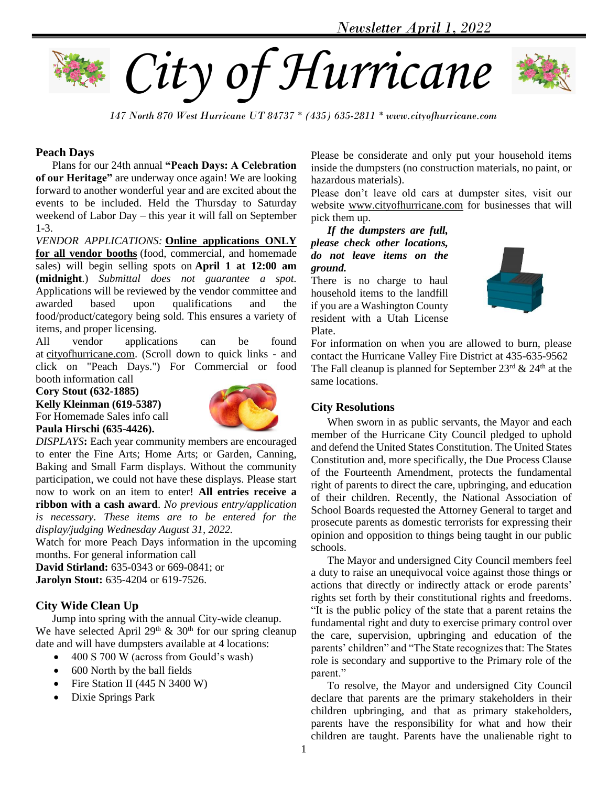



*147 North 870 West Hurricane UT 84737 \* (435) 635-2811 \* www.cityofhurricane.com*

## **Peach Days**

 Plans for our 24th annual **"Peach Days: A Celebration of our Heritage"** are underway once again! We are looking forward to another wonderful year and are excited about the events to be included. Held the Thursday to Saturday weekend of Labor Day – this year it will fall on September 1-3.

*VENDOR APPLICATIONS:* **Online applications ONLY for all vendor booths** (food, commercial, and homemade sales) will begin selling spots on **April 1 at 12:00 am (midnight**.) *Submittal does not guarantee a spot.*  Applications will be reviewed by the vendor committee and awarded based upon qualifications and the food/product/category being sold. This ensures a variety of items, and proper licensing.

All vendor applications can be found at cityofhurricane.com. (Scroll down to quick links - and click on "Peach Days.") For Commercial or food booth information call

**Cory Stout (632-1885)** 

**Kelly Kleinman (619-5387)** For Homemade Sales info call **Paula Hirschi (635-4426).**



*DISPLAYS***:** Each year community members are encouraged to enter the Fine Arts; Home Arts; or Garden, Canning, Baking and Small Farm displays. Without the community participation, we could not have these displays. Please start now to work on an item to enter! **All entries receive a ribbon with a cash award**. *No previous entry/application is necessary. These items are to be entered for the display/judging Wednesday August 31, 2022.*

Watch for more Peach Days information in the upcoming months. For general information call

**David Stirland:** 635-0343 or 669-0841; or **Jarolyn Stout:** 635-4204 or 619-7526.

## **City Wide Clean Up**

 Jump into spring with the annual City-wide cleanup. We have selected April  $29<sup>th</sup>$  &  $30<sup>th</sup>$  for our spring cleanup date and will have dumpsters available at 4 locations:

- 400 S 700 W (across from Gould's wash)
- 600 North by the ball fields
- Fire Station II (445 N 3400 W)
- Dixie Springs Park

Please be considerate and only put your household items inside the dumpsters (no construction materials, no paint, or hazardous materials).

Please don't leave old cars at dumpster sites, visit our website [www.cityofhurricane.com](http://www.cityofhurricane.com/) for businesses that will pick them up.

 *If the dumpsters are full, please check other locations, do not leave items on the ground.*

There is no charge to haul household items to the landfill if you are a Washington County resident with a Utah License Plate.



For information on when you are allowed to burn, please contact the Hurricane Valley Fire District at 435-635-9562 The Fall cleanup is planned for September  $23<sup>rd</sup> \& 24<sup>th</sup>$  at the same locations.

# **City Resolutions**

 When sworn in as public servants, the Mayor and each member of the Hurricane City Council pledged to uphold and defend the United States Constitution. The United States Constitution and, more specifically, the Due Process Clause of the Fourteenth Amendment, protects the fundamental right of parents to direct the care, upbringing, and education of their children. Recently, the National Association of School Boards requested the Attorney General to target and prosecute parents as domestic terrorists for expressing their opinion and opposition to things being taught in our public schools.

 The Mayor and undersigned City Council members feel a duty to raise an unequivocal voice against those things or actions that directly or indirectly attack or erode parents' rights set forth by their constitutional rights and freedoms. "It is the public policy of the state that a parent retains the fundamental right and duty to exercise primary control over the care, supervision, upbringing and education of the parents' children" and "The State recognizes that: The States role is secondary and supportive to the Primary role of the parent."

 To resolve, the Mayor and undersigned City Council declare that parents are the primary stakeholders in their children upbringing, and that as primary stakeholders, parents have the responsibility for what and how their children are taught. Parents have the unalienable right to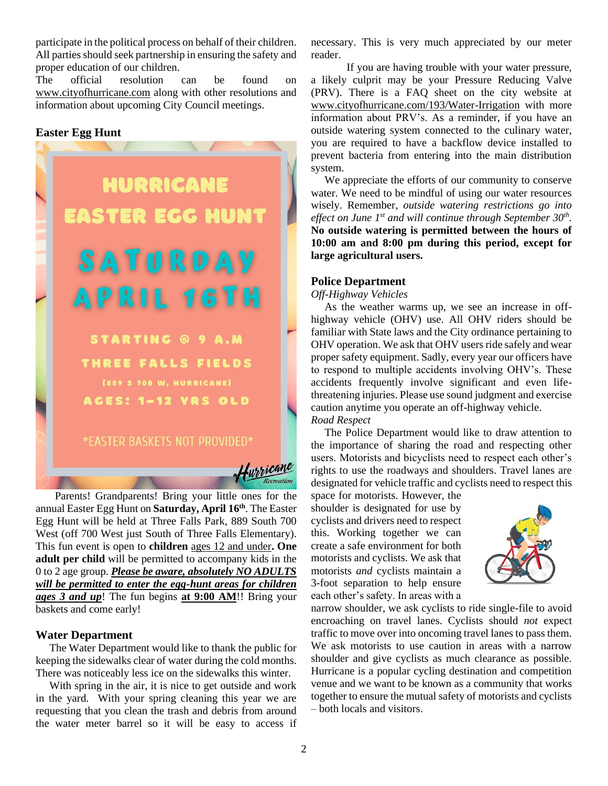participate in the political process on behalf of their children. All parties should seek partnership in ensuring the safety and proper education of our children.

The official resolution can be found on [www.cityofhurricane.com](http://www.cityofhurricane.com/) along with other resolutions and information about upcoming City Council meetings.

# **Easter Egg Hunt**



 Parents! Grandparents! Bring your little ones for the annual Easter Egg Hunt on **Saturday, April 16th**. The Easter Egg Hunt will be held at Three Falls Park, 889 South 700 West (off 700 West just South of Three Falls Elementary). This fun event is open to **children** ages 12 and under**. One adult per child** will be permitted to accompany kids in the 0 to 2 age group. *Please be aware, absolutely NO ADULTS will be permitted to enter the egg-hunt areas for children ages 3 and up*! The fun begins **at 9:00 AM**!! Bring your baskets and come early!

## **Water Department**

 The Water Department would like to thank the public for keeping the sidewalks clear of water during the cold months. There was noticeably less ice on the sidewalks this winter.

 With spring in the air, it is nice to get outside and work in the yard. With your spring cleaning this year we are requesting that you clean the trash and debris from around the water meter barrel so it will be easy to access if necessary. This is very much appreciated by our meter reader.

If you are having trouble with your water pressure, a likely culprit may be your Pressure Reducing Valve (PRV). There is a FAQ sheet on the city website at [www.cityofhurricane.com/193/Water-Irrigation](http://www.cityofhurricane.com/193/Water-Irrigation) with more information about PRV's. As a reminder, if you have an outside watering system connected to the culinary water, you are required to have a backflow device installed to prevent bacteria from entering into the main distribution system.

 We appreciate the efforts of our community to conserve water. We need to be mindful of using our water resources wisely. Remember, *outside watering restrictions go into effect on June 1st and will continue through September 30th .* **No outside watering is permitted between the hours of 10:00 am and 8:00 pm during this period, except for large agricultural users.**

## **Police Department**

*Off-Highway Vehicles*

 As the weather warms up, we see an increase in offhighway vehicle (OHV) use. All OHV riders should be familiar with State laws and the City ordinance pertaining to OHV operation. We ask that OHV users ride safely and wear proper safety equipment. Sadly, every year our officers have to respond to multiple accidents involving OHV's. These accidents frequently involve significant and even lifethreatening injuries. Please use sound judgment and exercise caution anytime you operate an off-highway vehicle. *Road Respect*

 The Police Department would like to draw attention to the importance of sharing the road and respecting other users. Motorists and bicyclists need to respect each other's rights to use the roadways and shoulders. Travel lanes are designated for vehicle traffic and cyclists need to respect this

space for motorists. However, the shoulder is designated for use by cyclists and drivers need to respect this. Working together we can create a safe environment for both motorists and cyclists. We ask that motorists *and* cyclists maintain a 3-foot separation to help ensure each other's safety. In areas with a



narrow shoulder, we ask cyclists to ride single-file to avoid encroaching on travel lanes. Cyclists should *not* expect traffic to move over into oncoming travel lanes to pass them. We ask motorists to use caution in areas with a narrow shoulder and give cyclists as much clearance as possible. Hurricane is a popular cycling destination and competition venue and we want to be known as a community that works together to ensure the mutual safety of motorists and cyclists – both locals and visitors.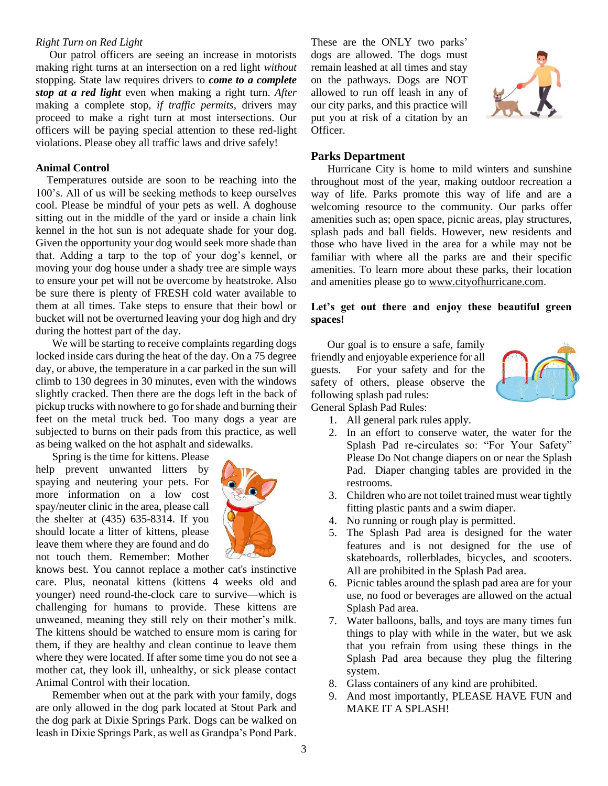### *Right Turn on Red Light*

 Our patrol officers are seeing an increase in motorists making right turns at an intersection on a red light *without* stopping. State law requires drivers to *come to a complete stop at a red light* even when making a right turn. *After* making a complete stop, *if traffic permits*, drivers may proceed to make a right turn at most intersections. Our officers will be paying special attention to these red-light violations. Please obey all traffic laws and drive safely!

#### **Animal Control**

 Temperatures outside are soon to be reaching into the 100's. All of us will be seeking methods to keep ourselves cool. Please be mindful of your pets as well. A doghouse sitting out in the middle of the yard or inside a chain link kennel in the hot sun is not adequate shade for your dog. Given the opportunity your dog would seek more shade than that. Adding a tarp to the top of your dog's kennel, or moving your dog house under a shady tree are simple ways to ensure your pet will not be overcome by heatstroke. Also be sure there is plenty of FRESH cold water available to them at all times. Take steps to ensure that their bowl or bucket will not be overturned leaving your dog high and dry during the hottest part of the day.

 We will be starting to receive complaints regarding dogs locked inside cars during the heat of the day. On a 75 degree day, or above, the temperature in a car parked in the sun will climb to 130 degrees in 30 minutes, even with the windows slightly cracked. Then there are the dogs left in the back of pickup trucks with nowhere to go for shade and burning their feet on the metal truck bed. Too many dogs a year are subjected to burns on their pads from this practice, as well as being walked on the hot asphalt and sidewalks.

 Spring is the time for kittens. Please help prevent unwanted litters by spaying and neutering your pets. For more information on a low cost spay/neuter clinic in the area, please call the shelter at (435) 635-8314. If you should locate a litter of kittens, please leave them where they are found and do not touch them. Remember: Mother



knows best. You cannot replace a mother cat's instinctive care. Plus, neonatal kittens (kittens 4 weeks old and younger) need round-the-clock care to survive—which is challenging for humans to provide. These kittens are unweaned, meaning they still rely on their mother's milk. The kittens should be watched to ensure mom is caring for them, if they are healthy and clean continue to leave them where they were located. If after some time you do not see a mother cat, they look ill, unhealthy, or sick please contact Animal Control with their location.

 Remember when out at the park with your family, dogs are only allowed in the dog park located at Stout Park and the dog park at Dixie Springs Park. Dogs can be walked on leash in Dixie Springs Park, as well as Grandpa's Pond Park.

These are the ONLY two parks' dogs are allowed. The dogs must remain leashed at all times and stay on the pathways. Dogs are NOT allowed to run off leash in any of our city parks, and this practice will put you at risk of a citation by an Officer.



### **Parks Department**

 Hurricane City is home to mild winters and sunshine throughout most of the year, making outdoor recreation a way of life. Parks promote this way of life and are a welcoming resource to the community. Our parks offer amenities such as; open space, picnic areas, play structures, splash pads and ball fields. However, new residents and those who have lived in the area for a while may not be familiar with where all the parks are and their specific amenities. To learn more about these parks, their location and amenities please go to [www.cityofhurricane.com.](http://www.cityofhurricane.com/)

## **Let's get out there and enjoy these beautiful green spaces!**

 Our goal is to ensure a safe, family friendly and enjoyable experience for all guests. For your safety and for the safety of others, please observe the following splash pad rules: General Splash Pad Rules:



- 1. All general park rules apply.
- 2. In an effort to conserve water, the water for the Splash Pad re-circulates so: "For Your Safety" Please Do Not change diapers on or near the Splash Pad. Diaper changing tables are provided in the restrooms.
- 3. Children who are not toilet trained must wear tightly fitting plastic pants and a swim diaper.
- 4. No running or rough play is permitted.
- 5. The Splash Pad area is designed for the water features and is not designed for the use of skateboards, rollerblades, bicycles, and scooters. All are prohibited in the Splash Pad area.
- 6. Picnic tables around the splash pad area are for your use, no food or beverages are allowed on the actual Splash Pad area.
- 7. Water balloons, balls, and toys are many times fun things to play with while in the water, but we ask that you refrain from using these things in the Splash Pad area because they plug the filtering system.
- 8. Glass containers of any kind are prohibited.
- 9. And most importantly, PLEASE HAVE FUN and MAKE IT A SPLASH!